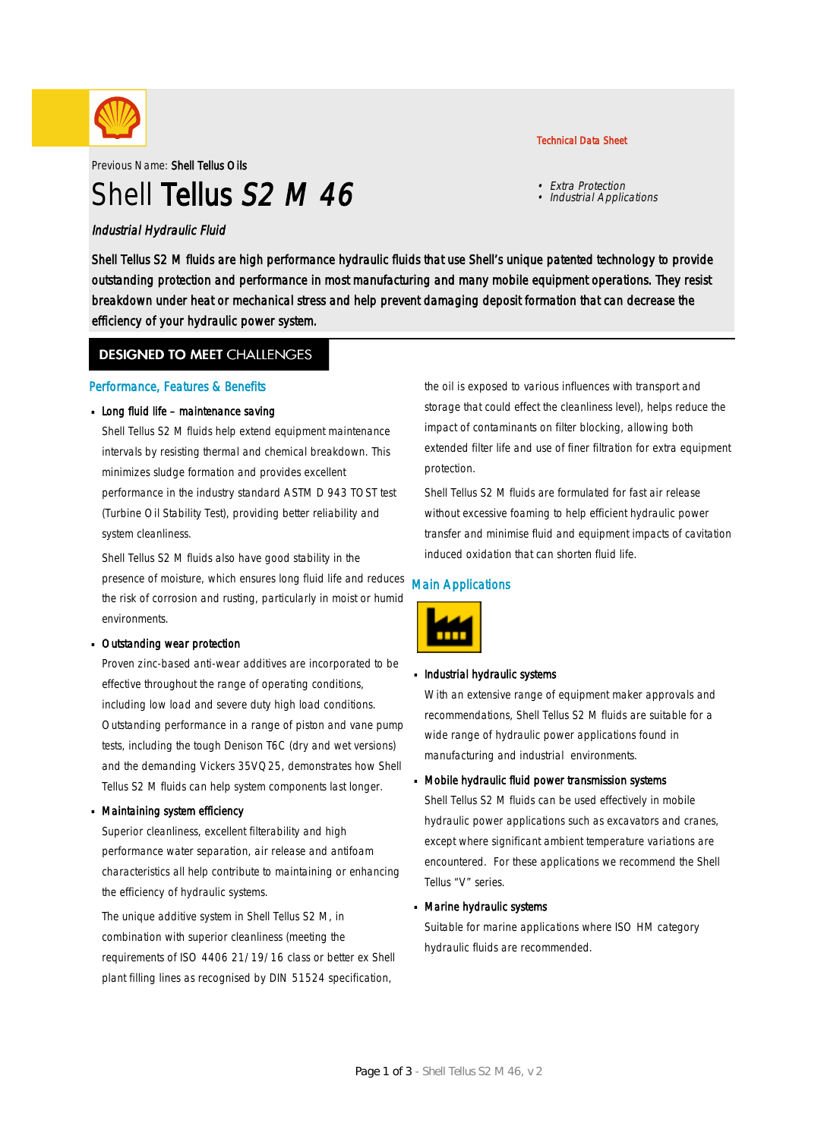

Previous Name: Shell Tellus Oils

# Shell Tellus S2 M 46

### Industrial Hydraulic Fluid

Shell Tellus S2 M fluids are high performance hydraulic fluids that use Shell's unique patented technology to provide outstanding protection and performance in most manufacturing and many mobile equipment operations. They resist breakdown under heat or mechanical stress and help prevent damaging deposit formation that can decrease the efficiency of your hydraulic power system.

### **DESIGNED TO MEET CHALLENGES**

### Performance, Features & Benefits

### Long fluid life – maintenance saving

Shell Tellus S2 M fluids help extend equipment maintenance intervals by resisting thermal and chemical breakdown. This minimizes sludge formation and provides excellent performance in the industry standard ASTM D 943 TOST test (Turbine Oil Stability Test), providing better reliability and system cleanliness.

Shell Tellus S2 M fluids also have good stability in the presence of moisture, which ensures long fluid life and reduces the risk of corrosion and rusting, particularly in moist or humid environments.

#### Outstanding wear protection ·

Proven zinc-based anti-wear additives are incorporated to be effective throughout the range of operating conditions, including low load and severe duty high load conditions. Outstanding performance in a range of piston and vane pump tests, including the tough Denison T6C (dry and wet versions) and the demanding Vickers 35VQ25, demonstrates how Shell Tellus S2 M fluids can help system components last longer.

#### Maintaining system efficiency ·

Superior cleanliness, excellent filterability and high performance water separation, air release and antifoam characteristics all help contribute to maintaining or enhancing the efficiency of hydraulic systems.

The unique additive system in Shell Tellus S2 M, in combination with superior cleanliness (meeting the requirements of ISO 4406 21/19/16 class or better ex Shell plant filling lines as recognised by DIN 51524 specification,

the oil is exposed to various influences with transport and storage that could effect the cleanliness level), helps reduce the impact of contaminants on filter blocking, allowing both extended filter life and use of finer filtration for extra equipment protection.

Shell Tellus S2 M fluids are formulated for fast air release without excessive foaming to help efficient hydraulic power transfer and minimise fluid and equipment impacts of cavitation induced oxidation that can shorten fluid life.

### Main Applications



## **Industrial hydraulic systems**

With an extensive range of equipment maker approvals and recommendations, Shell Tellus S2 M fluids are suitable for a wide range of hydraulic power applications found in manufacturing and industrial environments.

## Mobile hydraulic fluid power transmission systems ·

Shell Tellus S2 M fluids can be used effectively in mobile hydraulic power applications such as excavators and cranes, except where significant ambient temperature variations are encountered. For these applications we recommend the Shell Tellus "V" series.

## Marine hydraulic systems ·

Suitable for marine applications where ISO HM category hydraulic fluids are recommended.

### Technical Data Sheet

• Extra Protection • Industrial Applications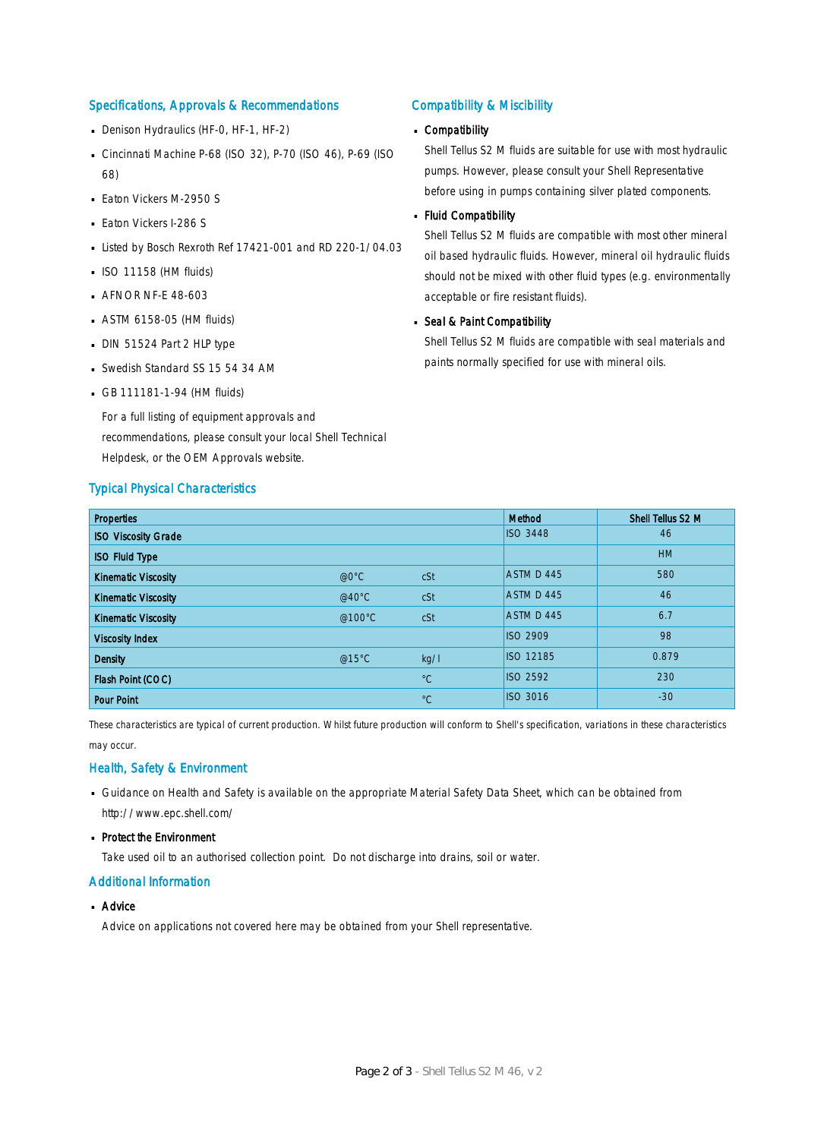### Specifications, Approvals & Recommendations

- Denison Hydraulics (HF-0, HF-1, HF-2)
- Cincinnati Machine P-68 (ISO 32), P-70 (ISO 46), P-69 (ISO 68)
- **Eaton Vickers M-2950 S**
- **Eaton Vickers I-286 S**
- Listed by Bosch Rexroth Ref 17421-001 and RD 220-1/04.03
- $\blacksquare$  ISO 11158 (HM fluids)
- **AFNOR NF-E 48-603**
- ASTM 6158-05 (HM fluids) ·
- DIN 51524 Part 2 HLP type
- Swedish Standard SS 15 54 34 AM
- GB 111181-1-94 (HM fluids)

For a full listing of equipment approvals and recommendations, please consult your local Shell Technical Helpdesk, or the OEM Approvals website.

#### Typical Physical Characteristics

### Compatibility & Miscibility

## Compatibility ·

Shell Tellus S2 M fluids are suitable for use with most hydraulic pumps. However, please consult your Shell Representative before using in pumps containing silver plated components.

#### Fluid Compatibility ·

Shell Tellus S2 M fluids are compatible with most other mineral oil based hydraulic fluids. However, mineral oil hydraulic fluids should not be mixed with other fluid types (e.g. environmentally acceptable or fire resistant fluids).

## Seal & Paint Compatibility

Shell Tellus S2 M fluids are compatible with seal materials and paints normally specified for use with mineral oils.

| <b>Properties</b>          |                  |             | Method          | Shell Tellus S2 M |
|----------------------------|------------------|-------------|-----------------|-------------------|
| <b>ISO Viscosity Grade</b> |                  |             | <b>ISO 3448</b> | 46                |
| <b>ISO Fluid Type</b>      |                  |             |                 | <b>HM</b>         |
| <b>Kinematic Viscosity</b> | $@0^{\circ}C$    | cSt         | ASTM D 445      | 580               |
| <b>Kinematic Viscosity</b> | @40 $^{\circ}$ C | cSt         | ASTM D 445      | 46                |
| <b>Kinematic Viscosity</b> | @100°C           | cSt         | ASTM D 445      | 6.7               |
| <b>Viscosity Index</b>     |                  |             | <b>ISO 2909</b> | 98                |
| <b>Density</b>             | @15°C            | kg/l        | ISO 12185       | 0.879             |
| Flash Point (COC)          |                  | $^{\circ}C$ | <b>ISO 2592</b> | 230               |
| <b>Pour Point</b>          |                  | $^{\circ}C$ | <b>ISO 3016</b> | $-30$             |

These characteristics are typical of current production. Whilst future production will conform to Shell's specification, variations in these characteristics may occur.

### Health, Safety & Environment

- Guidance on Health and Safety is available on the appropriate Material Safety Data Sheet, which can be obtained from http://www.epc.shell.com/
- Protect the Environment

Take used oil to an authorised collection point. Do not discharge into drains, soil or water.

### Additional Information

■ Advice

Advice on applications not covered here may be obtained from your Shell representative.